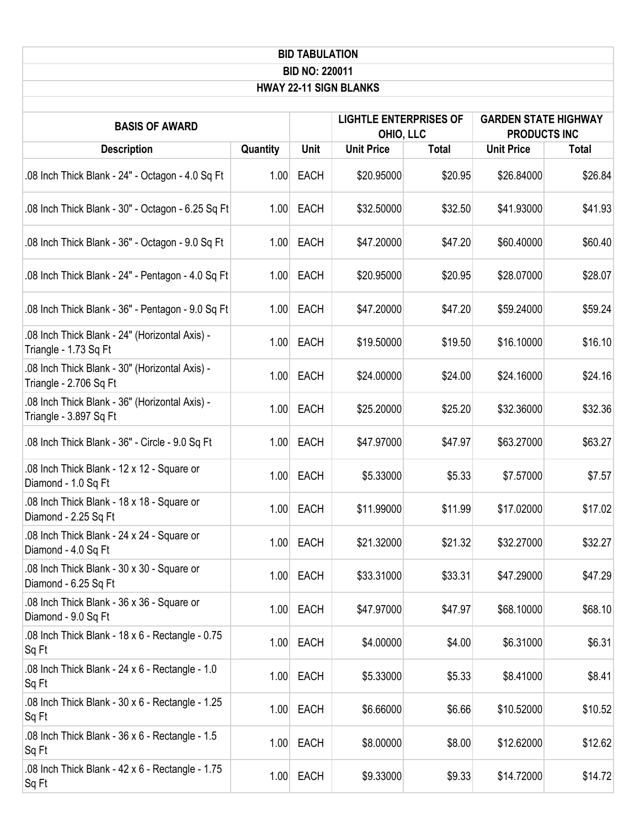| <b>BID TABULATION</b>                                                    |          |             |                                            |              |                                                    |              |  |
|--------------------------------------------------------------------------|----------|-------------|--------------------------------------------|--------------|----------------------------------------------------|--------------|--|
| <b>BID NO: 220011</b><br><b>HWAY 22-11 SIGN BLANKS</b>                   |          |             |                                            |              |                                                    |              |  |
|                                                                          |          |             |                                            |              |                                                    |              |  |
| <b>BASIS OF AWARD</b>                                                    |          |             | <b>LIGHTLE ENTERPRISES OF</b><br>OHIO, LLC |              | <b>GARDEN STATE HIGHWAY</b><br><b>PRODUCTS INC</b> |              |  |
| <b>Description</b>                                                       | Quantity | <b>Unit</b> | <b>Unit Price</b>                          | <b>Total</b> | <b>Unit Price</b>                                  | <b>Total</b> |  |
| .08 Inch Thick Blank - 24" - Octagon - 4.0 Sq Ft                         | 1.00     | <b>EACH</b> | \$20.95000                                 | \$20.95      | \$26.84000                                         | \$26.84      |  |
| .08 Inch Thick Blank - 30" - Octagon - 6.25 Sq Ft                        | 1.00     | <b>EACH</b> | \$32.50000                                 | \$32.50      | \$41.93000                                         | \$41.93      |  |
| .08 Inch Thick Blank - 36" - Octagon - 9.0 Sq Ft                         | 1.00     | <b>EACH</b> | \$47.20000                                 | \$47.20      | \$60.40000                                         | \$60.40      |  |
| .08 Inch Thick Blank - 24" - Pentagon - 4.0 Sq Ft                        | 1.00     | <b>EACH</b> | \$20.95000                                 | \$20.95      | \$28.07000                                         | \$28.07      |  |
| .08 Inch Thick Blank - 36" - Pentagon - 9.0 Sq Ft                        | 1.00     | <b>EACH</b> | \$47.20000                                 | \$47.20      | \$59.24000                                         | \$59.24      |  |
| - 08 Inch Thick Blank - 24" (Horizontal Axis).<br>Triangle - 1.73 Sq Ft  | 1.00     | <b>EACH</b> | \$19.50000                                 | \$19.50      | \$16.10000                                         | \$16.10      |  |
| .08 Inch Thick Blank - 30" (Horizontal Axis) -<br>Triangle - 2.706 Sq Ft | 1.00     | <b>EACH</b> | \$24.00000                                 | \$24.00      | \$24.16000                                         | \$24.16      |  |
| - 08 Inch Thick Blank - 36" (Horizontal Axis).<br>Triangle - 3.897 Sq Ft | 1.00     | <b>EACH</b> | \$25.20000                                 | \$25.20      | \$32.36000                                         | \$32.36      |  |
| .08 Inch Thick Blank - 36" - Circle - 9.0 Sq Ft                          | 1.00     | <b>EACH</b> | \$47.97000                                 | \$47.97      | \$63.27000                                         | \$63.27      |  |
| .08 Inch Thick Blank - 12 x 12 - Square or<br>Diamond - 1.0 Sq Ft        | 1.00     | <b>EACH</b> | \$5.33000                                  | \$5.33       | \$7.57000                                          | \$7.57       |  |
| .08 Inch Thick Blank - 18 x 18 - Square or<br>Diamond - 2.25 Sq Ft       |          | 1.00 EACH   | \$11.99000                                 | \$11.99      | \$17.02000                                         | \$17.02      |  |
| .08 Inch Thick Blank - 24 x 24 - Square or<br>Diamond - 4.0 Sq Ft        | 1.00     | <b>EACH</b> | \$21.32000                                 | \$21.32      | \$32.27000                                         | \$32.27      |  |
| .08 Inch Thick Blank - 30 x 30 - Square or<br>Diamond - 6.25 Sq Ft       | 1.00     | <b>EACH</b> | \$33.31000                                 | \$33.31      | \$47.29000                                         | \$47.29      |  |
| .08 Inch Thick Blank - 36 x 36 - Square or<br>Diamond - 9.0 Sq Ft        | 1.00     | <b>EACH</b> | \$47.97000                                 | \$47.97      | \$68.10000                                         | \$68.10      |  |
| .08 Inch Thick Blank - 18 x 6 - Rectangle - 0.75<br>Sq Ft                | 1.00     | <b>EACH</b> | \$4.00000                                  | \$4.00       | \$6.31000                                          | \$6.31       |  |
| .08 Inch Thick Blank - 24 x 6 - Rectangle - 1.0<br>Sq Ft                 | 1.00     | <b>EACH</b> | \$5.33000                                  | \$5.33       | \$8.41000                                          | \$8.41       |  |
| .08 Inch Thick Blank - 30 x 6 - Rectangle - 1.25<br>Sq Ft                | 1.00     | <b>EACH</b> | \$6.66000                                  | \$6.66       | \$10.52000                                         | \$10.52      |  |
| .08 Inch Thick Blank - 36 x 6 - Rectangle - 1.5<br>Sq Ft                 | 1.00     | <b>EACH</b> | \$8.00000                                  | \$8.00       | \$12.62000                                         | \$12.62      |  |
| .08 Inch Thick Blank - 42 x 6 - Rectangle - 1.75<br>Sq Ft                | 1.00     | <b>EACH</b> | \$9.33000                                  | \$9.33       | \$14.72000                                         | \$14.72      |  |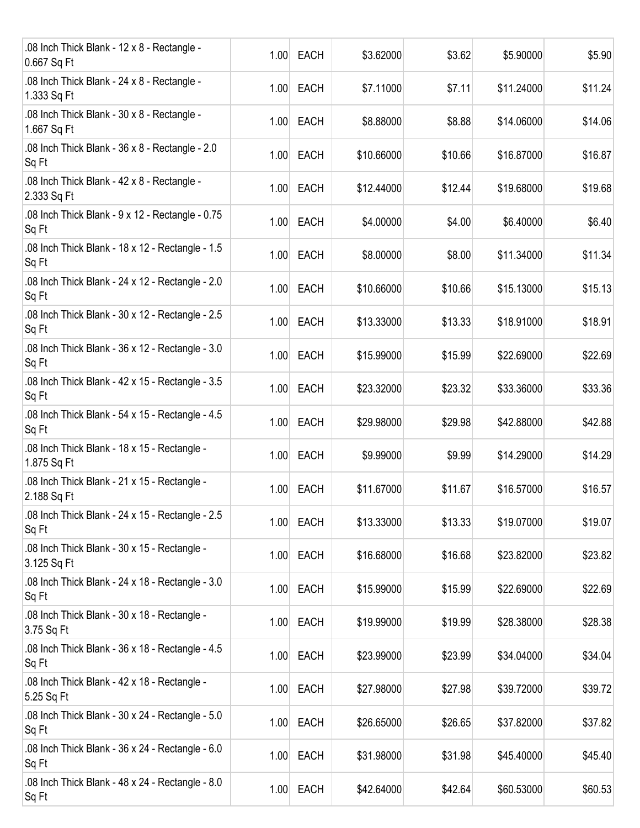| .08 Inch Thick Blank - 12 x 8 - Rectangle -<br>0.667 Sq Ft  | 1.00 | <b>EACH</b> | \$3.62000  | \$3.62  | \$5.90000  | \$5.90  |
|-------------------------------------------------------------|------|-------------|------------|---------|------------|---------|
| .08 Inch Thick Blank - 24 x 8 - Rectangle -<br>1.333 Sq Ft  | 1.00 | <b>EACH</b> | \$7.11000  | \$7.11  | \$11.24000 | \$11.24 |
| .08 Inch Thick Blank - 30 x 8 - Rectangle -<br>1.667 Sq Ft  | 1.00 | <b>EACH</b> | \$8.88000  | \$8.88  | \$14.06000 | \$14.06 |
| .08 Inch Thick Blank - 36 x 8 - Rectangle - 2.0<br>Sq Ft    | 1.00 | <b>EACH</b> | \$10.66000 | \$10.66 | \$16.87000 | \$16.87 |
| .08 Inch Thick Blank - 42 x 8 - Rectangle -<br>2.333 Sq Ft  | 1.00 | <b>EACH</b> | \$12.44000 | \$12.44 | \$19.68000 | \$19.68 |
| .08 Inch Thick Blank - 9 x 12 - Rectangle - 0.75<br>Sq Ft   | 1.00 | <b>EACH</b> | \$4.00000  | \$4.00  | \$6.40000  | \$6.40  |
| .08 Inch Thick Blank - 18 x 12 - Rectangle - 1.5<br>Sq Ft   | 1.00 | <b>EACH</b> | \$8.00000  | \$8.00  | \$11.34000 | \$11.34 |
| .08 Inch Thick Blank - 24 x 12 - Rectangle - 2.0<br>Sq Ft   | 1.00 | <b>EACH</b> | \$10.66000 | \$10.66 | \$15.13000 | \$15.13 |
| .08 Inch Thick Blank - 30 x 12 - Rectangle - 2.5<br>Sq Ft   | 1.00 | <b>EACH</b> | \$13.33000 | \$13.33 | \$18.91000 | \$18.91 |
| .08 Inch Thick Blank - 36 x 12 - Rectangle - 3.0<br>Sq Ft   | 1.00 | <b>EACH</b> | \$15.99000 | \$15.99 | \$22.69000 | \$22.69 |
| .08 Inch Thick Blank - 42 x 15 - Rectangle - 3.5<br>Sq Ft   | 1.00 | <b>EACH</b> | \$23.32000 | \$23.32 | \$33.36000 | \$33.36 |
| .08 Inch Thick Blank - 54 x 15 - Rectangle - 4.5<br>Sq Ft   | 1.00 | <b>EACH</b> | \$29.98000 | \$29.98 | \$42.88000 | \$42.88 |
| .08 Inch Thick Blank - 18 x 15 - Rectangle -<br>1.875 Sq Ft | 1.00 | <b>EACH</b> | \$9.99000  | \$9.99  | \$14.29000 | \$14.29 |
| .08 Inch Thick Blank - 21 x 15 - Rectangle -<br>2.188 Sq Ft | 1.00 | <b>EACH</b> | \$11.67000 | \$11.67 | \$16.57000 | \$16.57 |
| .08 Inch Thick Blank - 24 x 15 - Rectangle - 2.5<br>Sq Ft   | 1.00 | <b>EACH</b> | \$13.33000 | \$13.33 | \$19.07000 | \$19.07 |
| .08 Inch Thick Blank - 30 x 15 - Rectangle -<br>3.125 Sq Ft | 1.00 | <b>EACH</b> | \$16.68000 | \$16.68 | \$23.82000 | \$23.82 |
| .08 Inch Thick Blank - 24 x 18 - Rectangle - 3.0<br>Sq Ft   | 1.00 | <b>EACH</b> | \$15.99000 | \$15.99 | \$22.69000 | \$22.69 |
| .08 Inch Thick Blank - 30 x 18 - Rectangle -<br>3.75 Sq Ft  | 1.00 | <b>EACH</b> | \$19.99000 | \$19.99 | \$28.38000 | \$28.38 |
| .08 Inch Thick Blank - 36 x 18 - Rectangle - 4.5<br>Sq Ft   | 1.00 | <b>EACH</b> | \$23.99000 | \$23.99 | \$34.04000 | \$34.04 |
| .08 Inch Thick Blank - 42 x 18 - Rectangle -<br>5.25 Sq Ft  | 1.00 | <b>EACH</b> | \$27.98000 | \$27.98 | \$39.72000 | \$39.72 |
| .08 Inch Thick Blank - 30 x 24 - Rectangle - 5.0<br>Sq Ft   | 1.00 | <b>EACH</b> | \$26.65000 | \$26.65 | \$37.82000 | \$37.82 |
| .08 Inch Thick Blank - 36 x 24 - Rectangle - 6.0<br>Sq Ft   | 1.00 | <b>EACH</b> | \$31.98000 | \$31.98 | \$45.40000 | \$45.40 |
| .08 Inch Thick Blank - 48 x 24 - Rectangle - 8.0<br>Sq Ft   | 1.00 | EACH        | \$42.64000 | \$42.64 | \$60.53000 | \$60.53 |